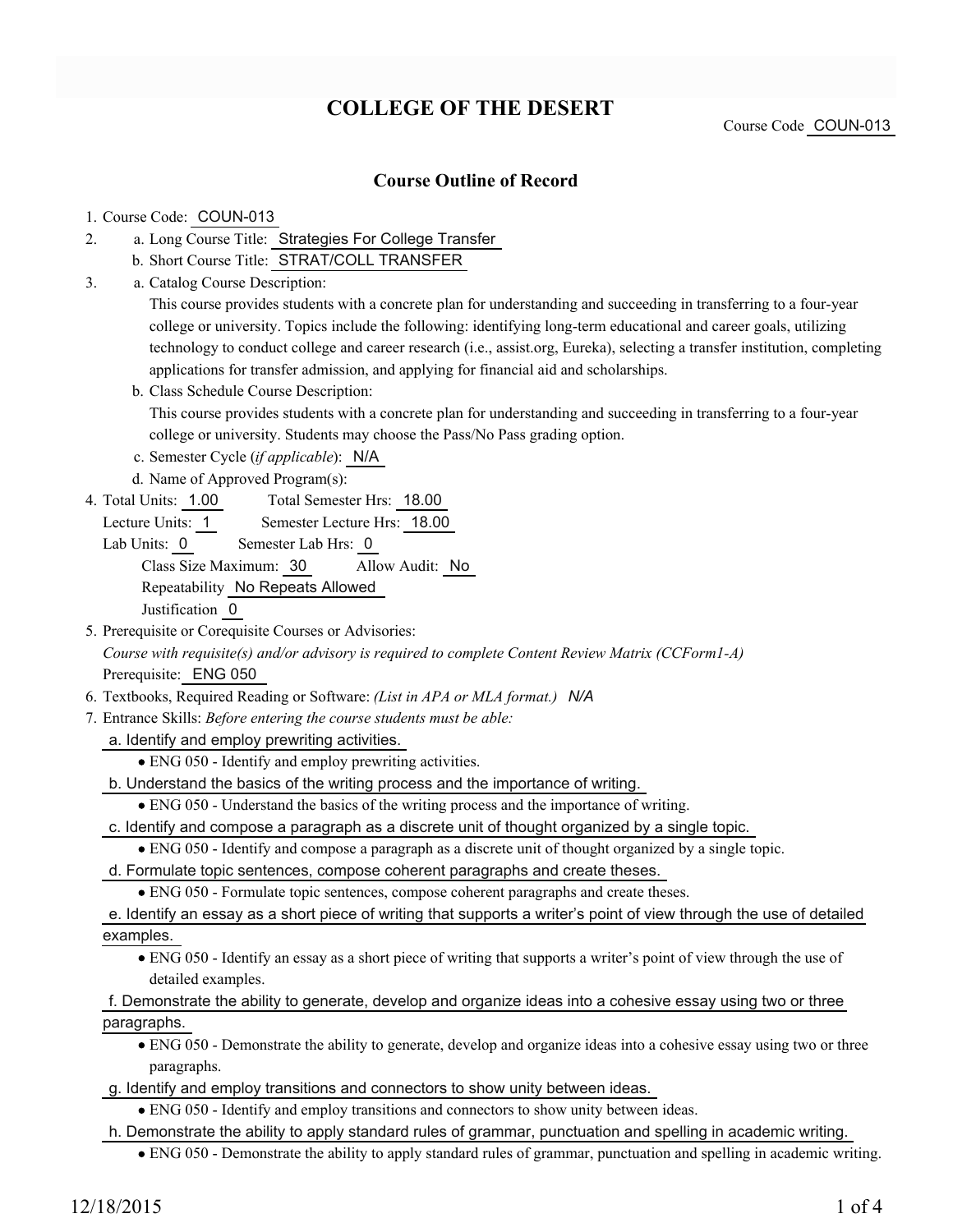# **COLLEGE OF THE DESERT**

Course Code COUN-013

### **Course Outline of Record**

#### 1. Course Code: COUN-013

- a. Long Course Title: Strategies For College Transfer 2.
	- b. Short Course Title: STRAT/COLL TRANSFER
- Catalog Course Description: a. 3.

This course provides students with a concrete plan for understanding and succeeding in transferring to a four-year college or university. Topics include the following: identifying long-term educational and career goals, utilizing technology to conduct college and career research (i.e., assist.org, Eureka), selecting a transfer institution, completing applications for transfer admission, and applying for financial aid and scholarships.

b. Class Schedule Course Description:

This course provides students with a concrete plan for understanding and succeeding in transferring to a four-year college or university. Students may choose the Pass/No Pass grading option.

- c. Semester Cycle (*if applicable*): N/A
- d. Name of Approved Program(s):
- Total Semester Hrs: 18.00 4. Total Units: 1.00
	- Lecture Units: 1 Semester Lecture Hrs: 18.00
	- Lab Units: 0 Semester Lab Hrs: 0 Class Size Maximum: 30 Allow Audit: No Repeatability No Repeats Allowed Justification 0
- 5. Prerequisite or Corequisite Courses or Advisories: *Course with requisite(s) and/or advisory is required to complete Content Review Matrix (CCForm1-A)* Prerequisite: ENG 050
- 6. Textbooks, Required Reading or Software: *(List in APA or MLA format.) N/A*
- Entrance Skills: *Before entering the course students must be able:* 7.
	- a. Identify and employ prewriting activities.
		- ENG 050 Identify and employ prewriting activities.
	- b. Understand the basics of the writing process and the importance of writing.
		- ENG 050 Understand the basics of the writing process and the importance of writing.
	- c. Identify and compose a paragraph as a discrete unit of thought organized by a single topic.
		- ENG 050 Identify and compose a paragraph as a discrete unit of thought organized by a single topic.
	- d. Formulate topic sentences, compose coherent paragraphs and create theses.
		- ENG 050 Formulate topic sentences, compose coherent paragraphs and create theses.
	- e. Identify an essay as a short piece of writing that supports a writer's point of view through the use of detailed
	- examples.
		- ENG 050 Identify an essay as a short piece of writing that supports a writer's point of view through the use of detailed examples.

### f. Demonstrate the ability to generate, develop and organize ideas into a cohesive essay using two or three paragraphs.

- ENG 050 Demonstrate the ability to generate, develop and organize ideas into a cohesive essay using two or three paragraphs.
- g. Identify and employ transitions and connectors to show unity between ideas.
	- ENG 050 Identify and employ transitions and connectors to show unity between ideas.
- h. Demonstrate the ability to apply standard rules of grammar, punctuation and spelling in academic writing.
	- ENG 050 Demonstrate the ability to apply standard rules of grammar, punctuation and spelling in academic writing.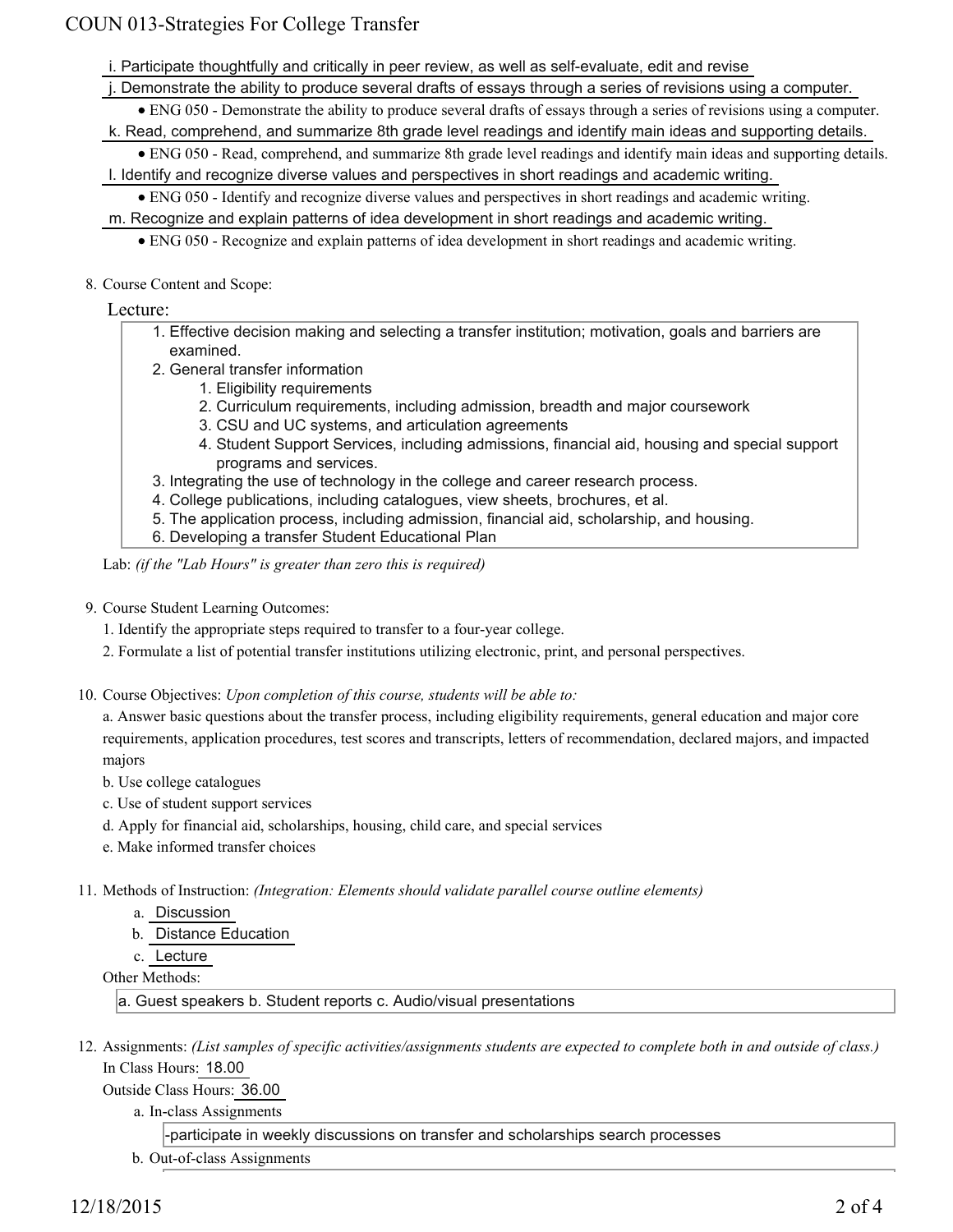# COUN 013-Strategies For College Transfer

- i. Participate thoughtfully and critically in peer review, as well as self-evaluate, edit and revise
- j. Demonstrate the ability to produce several drafts of essays through a series of revisions using a computer.
- ENG 050 Demonstrate the ability to produce several drafts of essays through a series of revisions using a computer. k. Read, comprehend, and summarize 8th grade level readings and identify main ideas and supporting details.
- ENG 050 Read, comprehend, and summarize 8th grade level readings and identify main ideas and supporting details.
- l. Identify and recognize diverse values and perspectives in short readings and academic writing.
	- ENG 050 Identify and recognize diverse values and perspectives in short readings and academic writing.
- m. Recognize and explain patterns of idea development in short readings and academic writing.
	- ENG 050 Recognize and explain patterns of idea development in short readings and academic writing.
- 8. Course Content and Scope:

### Lecture:

- Effective decision making and selecting a transfer institution; motivation, goals and barriers are 1. examined.
- 2. General transfer information
	- 1. Eligibility requirements
	- 2. Curriculum requirements, including admission, breadth and major coursework
	- 3. CSU and UC systems, and articulation agreements
	- 4. Student Support Services, including admissions, financial aid, housing and special support programs and services.
- 3. Integrating the use of technology in the college and career research process.
- 4. College publications, including catalogues, view sheets, brochures, et al.
- 5. The application process, including admission, financial aid, scholarship, and housing.
- 6. Developing a transfer Student Educational Plan

Lab: *(if the "Lab Hours" is greater than zero this is required)*

- 9. Course Student Learning Outcomes:
	- 1. Identify the appropriate steps required to transfer to a four-year college.
	- 2. Formulate a list of potential transfer institutions utilizing electronic, print, and personal perspectives.
- 10. Course Objectives: Upon completion of this course, students will be able to:

a. Answer basic questions about the transfer process, including eligibility requirements, general education and major core requirements, application procedures, test scores and transcripts, letters of recommendation, declared majors, and impacted majors

- b. Use college catalogues
- c. Use of student support services
- d. Apply for financial aid, scholarships, housing, child care, and special services
- e. Make informed transfer choices
- Methods of Instruction: *(Integration: Elements should validate parallel course outline elements)* 11.
	- a. Discussion
	- b. Distance Education
	- c. Lecture

Other Methods:

a. Guest speakers b. Student reports c. Audio/visual presentations

12. Assignments: (List samples of specific activities/assignments students are expected to complete both in and outside of class.) In Class Hours: 18.00

Outside Class Hours: 36.00

a. In-class Assignments

-participate in weekly discussions on transfer and scholarships search processes

b. Out-of-class Assignments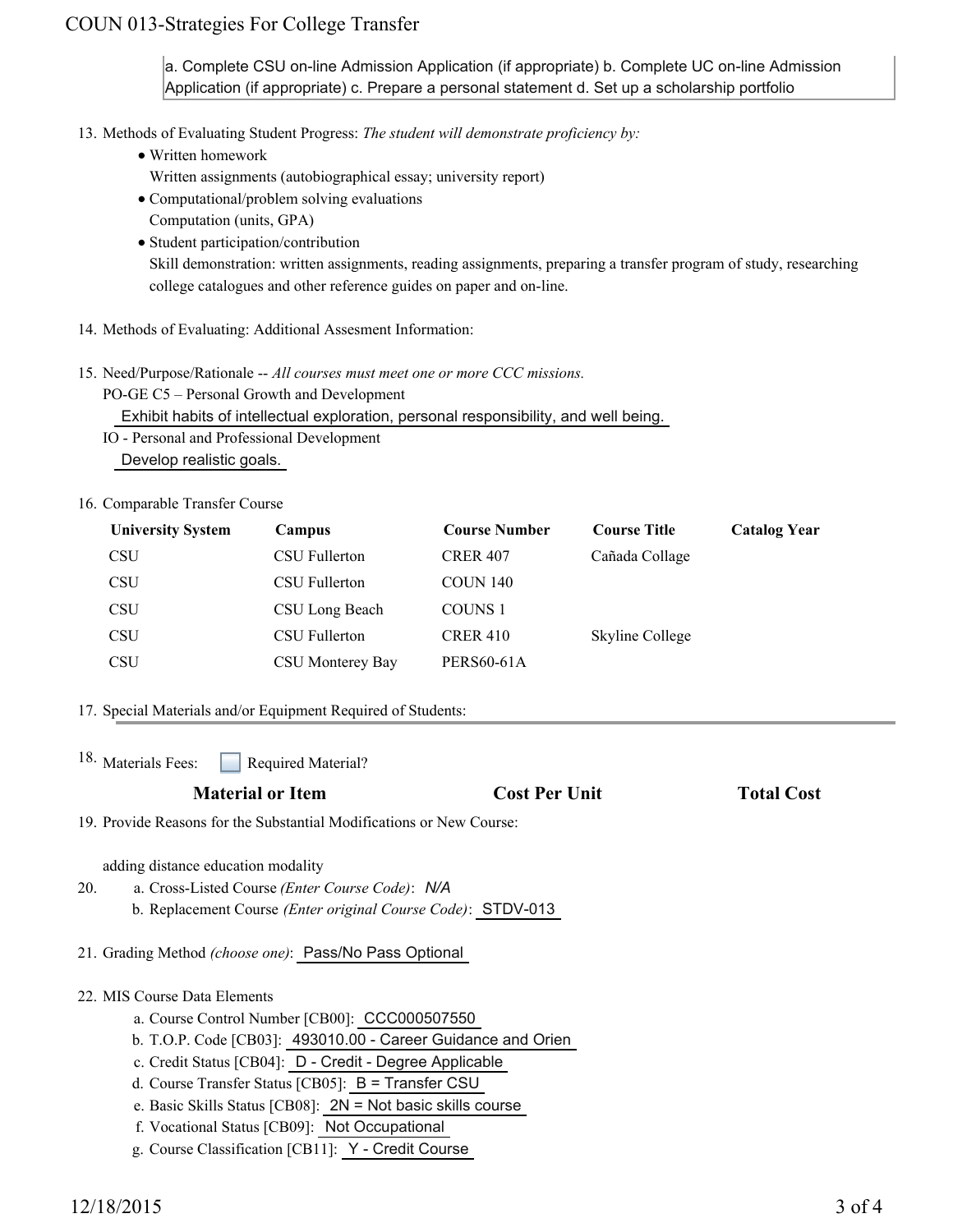# COUN 013-Strategies For College Transfer

a. Complete CSU on-line Admission Application (if appropriate) b. Complete UC on-line Admission Application (if appropriate) c. Prepare a personal statement d. Set up a scholarship portfolio

13. Methods of Evaluating Student Progress: The student will demonstrate proficiency by:

Written homework

Written assignments (autobiographical essay; university report)

Computational/problem solving evaluations

- Computation (units, GPA)
- Student participation/contribution

Skill demonstration: written assignments, reading assignments, preparing a transfer program of study, researching college catalogues and other reference guides on paper and on-line.

- 14. Methods of Evaluating: Additional Assesment Information:
- 15. Need/Purpose/Rationale -- All courses must meet one or more CCC missions. PO-GE C5 – Personal Growth and Development

Exhibit habits of intellectual exploration, personal responsibility, and well being.

IO - Personal and Professional Development Develop realistic goals.

#### 16. Comparable Transfer Course

| <b>University System</b> | <b>Campus</b>    | <b>Course Number</b> | <b>Course Title</b> | <b>Catalog Year</b> |
|--------------------------|------------------|----------------------|---------------------|---------------------|
| <b>CSU</b>               | CSU Fullerton    | <b>CRER 407</b>      | Cañada Collage      |                     |
| <b>CSU</b>               | CSU Fullerton    | <b>COUN 140</b>      |                     |                     |
| <b>CSU</b>               | CSU Long Beach   | COUNS <sub>1</sub>   |                     |                     |
| <b>CSU</b>               | CSU Fullerton    | <b>CRER 410</b>      | Skyline College     |                     |
| <b>CSU</b>               | CSU Monterey Bay | <b>PERS60-61A</b>    |                     |                     |

- 17. Special Materials and/or Equipment Required of Students:
- Required Material? 18. Materials Fees:

### **Material or Item Cost Per Unit Total Cost**

19. Provide Reasons for the Substantial Modifications or New Course:

adding distance education modality

- a. Cross-Listed Course *(Enter Course Code)*: *N/A* b. Replacement Course *(Enter original Course Code)*: STDV-013 20.
- 21. Grading Method *(choose one)*: Pass/No Pass Optional
- MIS Course Data Elements 22.
	- a. Course Control Number [CB00]: CCC000507550
	- b. T.O.P. Code [CB03]: 493010.00 Career Guidance and Orien
	- c. Credit Status [CB04]: D Credit Degree Applicable
	- d. Course Transfer Status [CB05]: B = Transfer CSU
	- e. Basic Skills Status [CB08]: 2N = Not basic skills course
	- f. Vocational Status [CB09]: Not Occupational
	- g. Course Classification [CB11]: Y Credit Course